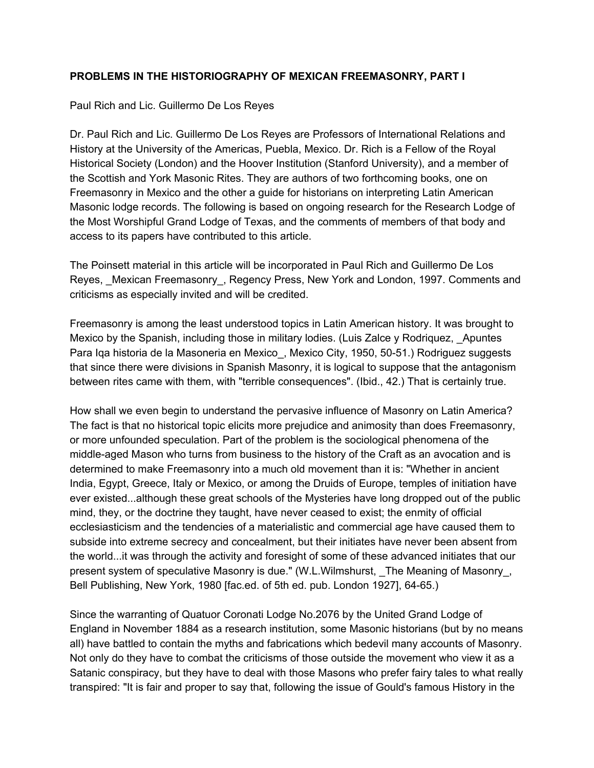## **PROBLEMS IN THE HISTORIOGRAPHY OF MEXICAN FREEMASONRY, PART I**

## Paul Rich and Lic. Guillermo De Los Reyes

Dr. Paul Rich and Lic. Guillermo De Los Reyes are Professors of International Relations and History at the University of the Americas, Puebla, Mexico. Dr. Rich is a Fellow of the Royal Historical Society (London) and the Hoover Institution (Stanford University), and a member of the Scottish and York Masonic Rites. They are authors of two forthcoming books, one on Freemasonry in Mexico and the other a guide for historians on interpreting Latin American Masonic lodge records. The following is based on ongoing research for the Research Lodge of the Most Worshipful Grand Lodge of Texas, and the comments of members of that body and access to its papers have contributed to this article.

The Poinsett material in this article will be incorporated in Paul Rich and Guillermo De Los Reyes, \_Mexican Freemasonry\_, Regency Press, New York and London, 1997. Comments and criticisms as especially invited and will be credited.

Freemasonry is among the least understood topics in Latin American history. It was brought to Mexico by the Spanish, including those in military lodies. (Luis Zalce y Rodriquez, Apuntes Para Iga historia de la Masoneria en Mexico, Mexico City, 1950, 50-51.) Rodriguez suggests that since there were divisions in Spanish Masonry, it is logical to suppose that the antagonism between rites came with them, with "terrible consequences". (Ibid., 42.) That is certainly true.

How shall we even begin to understand the pervasive influence of Masonry on Latin America? The fact is that no historical topic elicits more prejudice and animosity than does Freemasonry, or more unfounded speculation. Part of the problem is the sociological phenomena of the middle-aged Mason who turns from business to the history of the Craft as an avocation and is determined to make Freemasonry into a much old movement than it is: "Whether in ancient India, Egypt, Greece, Italy or Mexico, or among the Druids of Europe, temples of initiation have ever existed...although these great schools of the Mysteries have long dropped out of the public mind, they, or the doctrine they taught, have never ceased to exist; the enmity of official ecclesiasticism and the tendencies of a materialistic and commercial age have caused them to subside into extreme secrecy and concealment, but their initiates have never been absent from the world...it was through the activity and foresight of some of these advanced initiates that our present system of speculative Masonry is due." (W.L.Wilmshurst, \_The Meaning of Masonry\_, Bell Publishing, New York, 1980 [fac.ed. of 5th ed. pub. London 1927], 64-65.)

Since the warranting of Quatuor Coronati Lodge No.2076 by the United Grand Lodge of England in November 1884 as a research institution, some Masonic historians (but by no means all) have battled to contain the myths and fabrications which bedevil many accounts of Masonry. Not only do they have to combat the criticisms of those outside the movement who view it as a Satanic conspiracy, but they have to deal with those Masons who prefer fairy tales to what really transpired: "It is fair and proper to say that, following the issue of Gould's famous History in the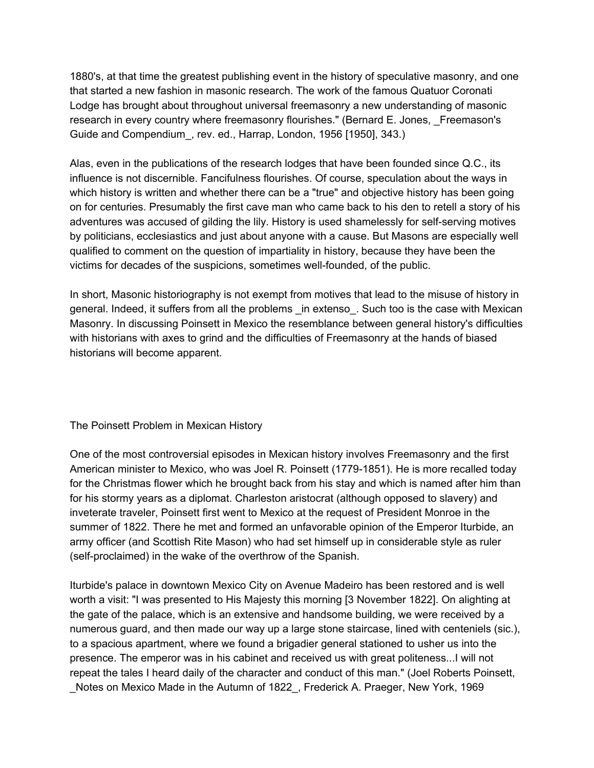1880's, at that time the greatest publishing event in the history of speculative masonry, and one that started a new fashion in masonic research. The work of the famous Quatuor Coronati Lodge has brought about throughout universal freemasonry a new understanding of masonic research in every country where freemasonry flourishes." (Bernard E. Jones, Freemason's Guide and Compendium\_, rev. ed., Harrap, London, 1956 [1950], 343.)

Alas, even in the publications of the research lodges that have been founded since Q.C., its influence is not discernible. Fancifulness flourishes. Of course, speculation about the ways in which history is written and whether there can be a "true" and objective history has been going on for centuries. Presumably the first cave man who came back to his den to retell a story of his adventures was accused of gilding the lily. History is used shamelessly for self-serving motives by politicians, ecclesiastics and just about anyone with a cause. But Masons are especially well qualified to comment on the question of impartiality in history, because they have been the victims for decades of the suspicions, sometimes well-founded, of the public.

In short, Masonic historiography is not exempt from motives that lead to the misuse of history in general. Indeed, it suffers from all the problems \_in extenso\_. Such too is the case with Mexican Masonry. In discussing Poinsett in Mexico the resemblance between general history's difficulties with historians with axes to grind and the difficulties of Freemasonry at the hands of biased historians will become apparent.

The Poinsett Problem in Mexican History

One of the most controversial episodes in Mexican history involves Freemasonry and the first American minister to Mexico, who was Joel R. Poinsett (1779-1851). He is more recalled today for the Christmas flower which he brought back from his stay and which is named after him than for his stormy years as a diplomat. Charleston aristocrat (although opposed to slavery) and inveterate traveler, Poinsett first went to Mexico at the request of President Monroe in the summer of 1822. There he met and formed an unfavorable opinion of the Emperor Iturbide, an army officer (and Scottish Rite Mason) who had set himself up in considerable style as ruler (self-proclaimed) in the wake of the overthrow of the Spanish.

Iturbide's palace in downtown Mexico City on Avenue Madeiro has been restored and is well worth a visit: "I was presented to His Majesty this morning [3 November 1822]. On alighting at the gate of the palace, which is an extensive and handsome building, we were received by a numerous guard, and then made our way up a large stone staircase, lined with centeniels (sic.), to a spacious apartment, where we found a brigadier general stationed to usher us into the presence. The emperor was in his cabinet and received us with great politeness...I will not repeat the tales I heard daily of the character and conduct of this man." (Joel Roberts Poinsett, \_Notes on Mexico Made in the Autumn of 1822\_, Frederick A. Praeger, New York, 1969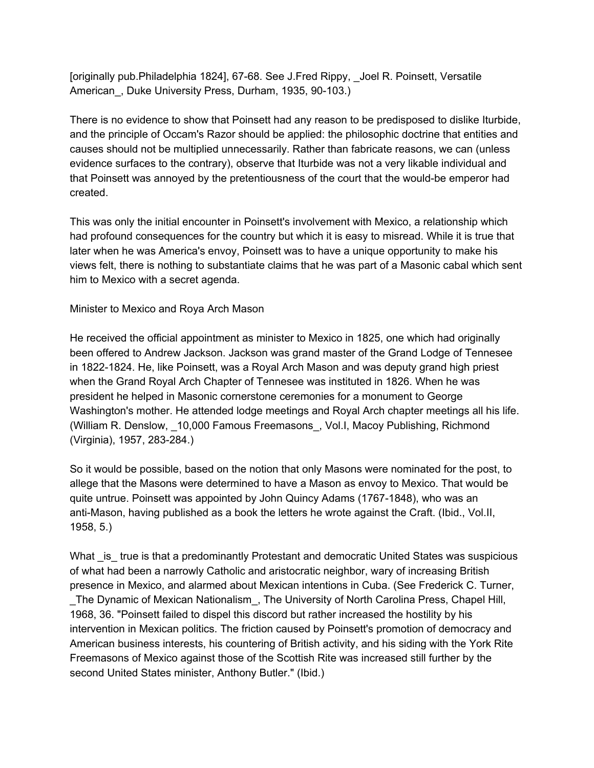[originally pub.Philadelphia 1824], 67-68. See J.Fred Rippy, \_Joel R. Poinsett, Versatile American\_, Duke University Press, Durham, 1935, 90-103.)

There is no evidence to show that Poinsett had any reason to be predisposed to dislike Iturbide, and the principle of Occam's Razor should be applied: the philosophic doctrine that entities and causes should not be multiplied unnecessarily. Rather than fabricate reasons, we can (unless evidence surfaces to the contrary), observe that Iturbide was not a very likable individual and that Poinsett was annoyed by the pretentiousness of the court that the would-be emperor had created.

This was only the initial encounter in Poinsett's involvement with Mexico, a relationship which had profound consequences for the country but which it is easy to misread. While it is true that later when he was America's envoy, Poinsett was to have a unique opportunity to make his views felt, there is nothing to substantiate claims that he was part of a Masonic cabal which sent him to Mexico with a secret agenda.

Minister to Mexico and Roya Arch Mason

He received the official appointment as minister to Mexico in 1825, one which had originally been offered to Andrew Jackson. Jackson was grand master of the Grand Lodge of Tennesee in 1822-1824. He, like Poinsett, was a Royal Arch Mason and was deputy grand high priest when the Grand Royal Arch Chapter of Tennesee was instituted in 1826. When he was president he helped in Masonic cornerstone ceremonies for a monument to George Washington's mother. He attended lodge meetings and Royal Arch chapter meetings all his life. (William R. Denslow, \_10,000 Famous Freemasons\_, Vol.I, Macoy Publishing, Richmond (Virginia), 1957, 283-284.)

So it would be possible, based on the notion that only Masons were nominated for the post, to allege that the Masons were determined to have a Mason as envoy to Mexico. That would be quite untrue. Poinsett was appointed by John Quincy Adams (1767-1848), who was an anti-Mason, having published as a book the letters he wrote against the Craft. (Ibid., Vol.II, 1958, 5.)

What is true is that a predominantly Protestant and democratic United States was suspicious of what had been a narrowly Catholic and aristocratic neighbor, wary of increasing British presence in Mexico, and alarmed about Mexican intentions in Cuba. (See Frederick C. Turner, The Dynamic of Mexican Nationalism, The University of North Carolina Press, Chapel Hill, 1968, 36. "Poinsett failed to dispel this discord but rather increased the hostility by his intervention in Mexican politics. The friction caused by Poinsett's promotion of democracy and American business interests, his countering of British activity, and his siding with the York Rite Freemasons of Mexico against those of the Scottish Rite was increased still further by the second United States minister, Anthony Butler." (Ibid.)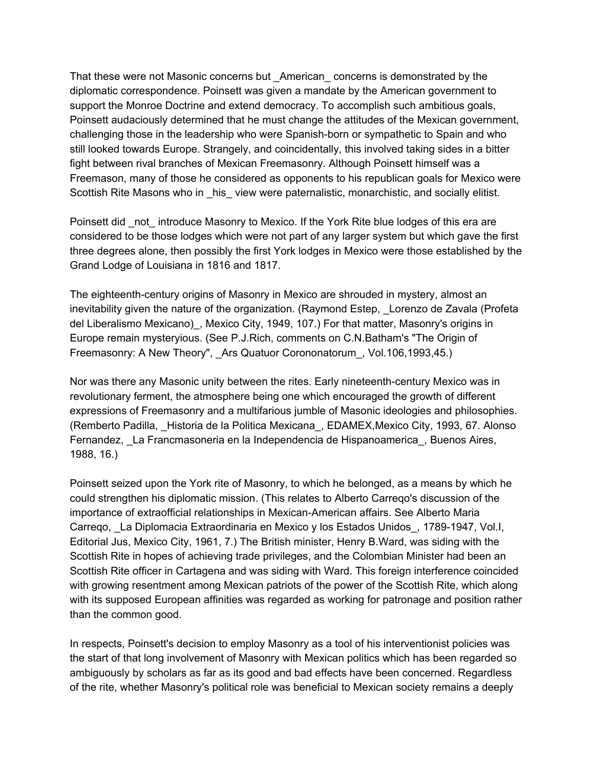That these were not Masonic concerns but \_American\_ concerns is demonstrated by the diplomatic correspondence. Poinsett was given a mandate by the American government to support the Monroe Doctrine and extend democracy. To accomplish such ambitious goals, Poinsett audaciously determined that he must change the attitudes of the Mexican government, challenging those in the leadership who were Spanish-born or sympathetic to Spain and who still looked towards Europe. Strangely, and coincidentally, this involved taking sides in a bitter fight between rival branches of Mexican Freemasonry. Although Poinsett himself was a Freemason, many of those he considered as opponents to his republican goals for Mexico were Scottish Rite Masons who in his view were paternalistic, monarchistic, and socially elitist.

Poinsett did not introduce Masonry to Mexico. If the York Rite blue lodges of this era are considered to be those lodges which were not part of any larger system but which gave the first three degrees alone, then possibly the first York lodges in Mexico were those established by the Grand Lodge of Louisiana in 1816 and 1817.

The eighteenth-century origins of Masonry in Mexico are shrouded in mystery, almost an inevitability given the nature of the organization. (Raymond Estep, Lorenzo de Zavala (Profeta del Liberalismo Mexicano), Mexico City, 1949, 107.) For that matter, Masonry's origins in Europe remain mysteryious. (See P.J.Rich, comments on C.N.Batham's "The Origin of Freemasonry: A New Theory", Ars Quatuor Corononatorum, Vol.106,1993,45.)

Nor was there any Masonic unity between the rites. Early nineteenth-century Mexico was in revolutionary ferment, the atmosphere being one which encouraged the growth of different expressions of Freemasonry and a multifarious jumble of Masonic ideologies and philosophies. (Remberto Padilla, \_Historia de la Politica Mexicana\_, EDAMEX,Mexico City, 1993, 67. Alonso Fernandez, La Francmasoneria en la Independencia de Hispanoamerica, Buenos Aires, 1988, 16.)

Poinsett seized upon the York rite of Masonry, to which he belonged, as a means by which he could strengthen his diplomatic mission. (This relates to Alberto Carreqo's discussion of the importance of extraofficial relationships in Mexican-American affairs. See Alberto Maria Carreqo, \_La Diplomacia Extraordinaria en Mexico y los Estados Unidos\_, 1789-1947, Vol.I, Editorial Jus, Mexico City, 1961, 7.) The British minister, Henry B.Ward, was siding with the Scottish Rite in hopes of achieving trade privileges, and the Colombian Minister had been an Scottish Rite officer in Cartagena and was siding with Ward. This foreign interference coincided with growing resentment among Mexican patriots of the power of the Scottish Rite, which along with its supposed European affinities was regarded as working for patronage and position rather than the common good.

In respects, Poinsett's decision to employ Masonry as a tool of his interventionist policies was the start of that long involvement of Masonry with Mexican politics which has been regarded so ambiguously by scholars as far as its good and bad effects have been concerned. Regardless of the rite, whether Masonry's political role was beneficial to Mexican society remains a deeply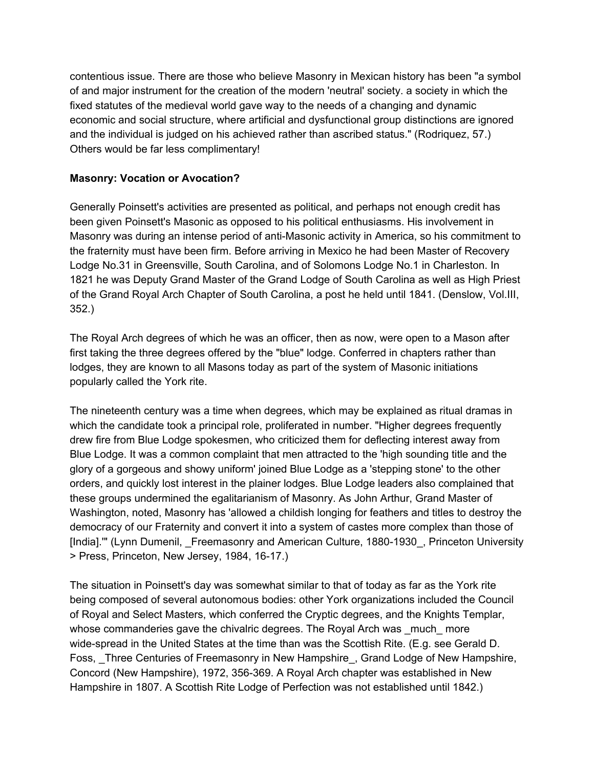contentious issue. There are those who believe Masonry in Mexican history has been "a symbol of and major instrument for the creation of the modern 'neutral' society. a society in which the fixed statutes of the medieval world gave way to the needs of a changing and dynamic economic and social structure, where artificial and dysfunctional group distinctions are ignored and the individual is judged on his achieved rather than ascribed status." (Rodriquez, 57.) Others would be far less complimentary!

## **Masonry: Vocation or Avocation?**

Generally Poinsett's activities are presented as political, and perhaps not enough credit has been given Poinsett's Masonic as opposed to his political enthusiasms. His involvement in Masonry was during an intense period of anti-Masonic activity in America, so his commitment to the fraternity must have been firm. Before arriving in Mexico he had been Master of Recovery Lodge No.31 in Greensville, South Carolina, and of Solomons Lodge No.1 in Charleston. In 1821 he was Deputy Grand Master of the Grand Lodge of South Carolina as well as High Priest of the Grand Royal Arch Chapter of South Carolina, a post he held until 1841. (Denslow, Vol.III, 352.)

The Royal Arch degrees of which he was an officer, then as now, were open to a Mason after first taking the three degrees offered by the "blue" lodge. Conferred in chapters rather than lodges, they are known to all Masons today as part of the system of Masonic initiations popularly called the York rite.

The nineteenth century was a time when degrees, which may be explained as ritual dramas in which the candidate took a principal role, proliferated in number. "Higher degrees frequently drew fire from Blue Lodge spokesmen, who criticized them for deflecting interest away from Blue Lodge. It was a common complaint that men attracted to the 'high sounding title and the glory of a gorgeous and showy uniform' joined Blue Lodge as a 'stepping stone' to the other orders, and quickly lost interest in the plainer lodges. Blue Lodge leaders also complained that these groups undermined the egalitarianism of Masonry. As John Arthur, Grand Master of Washington, noted, Masonry has 'allowed a childish longing for feathers and titles to destroy the democracy of our Fraternity and convert it into a system of castes more complex than those of [India].'" (Lynn Dumenil, \_Freemasonry and American Culture, 1880-1930\_, Princeton University > Press, Princeton, New Jersey, 1984, 16-17.)

The situation in Poinsett's day was somewhat similar to that of today as far as the York rite being composed of several autonomous bodies: other York organizations included the Council of Royal and Select Masters, which conferred the Cryptic degrees, and the Knights Templar, whose commanderies gave the chivalric degrees. The Royal Arch was \_much\_ more wide-spread in the United States at the time than was the Scottish Rite. (E.g. see Gerald D. Foss, Three Centuries of Freemasonry in New Hampshire\_, Grand Lodge of New Hampshire, Concord (New Hampshire), 1972, 356-369. A Royal Arch chapter was established in New Hampshire in 1807. A Scottish Rite Lodge of Perfection was not established until 1842.)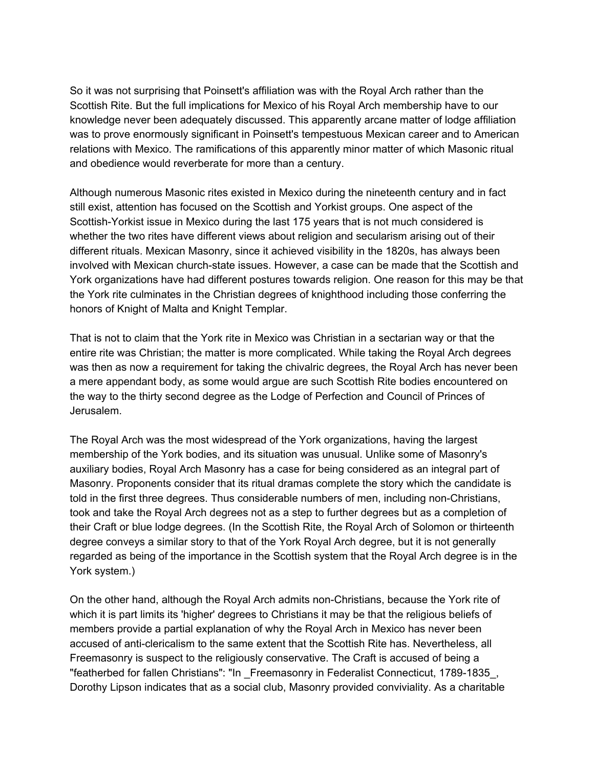So it was not surprising that Poinsett's affiliation was with the Royal Arch rather than the Scottish Rite. But the full implications for Mexico of his Royal Arch membership have to our knowledge never been adequately discussed. This apparently arcane matter of lodge affiliation was to prove enormously significant in Poinsett's tempestuous Mexican career and to American relations with Mexico. The ramifications of this apparently minor matter of which Masonic ritual and obedience would reverberate for more than a century.

Although numerous Masonic rites existed in Mexico during the nineteenth century and in fact still exist, attention has focused on the Scottish and Yorkist groups. One aspect of the Scottish-Yorkist issue in Mexico during the last 175 years that is not much considered is whether the two rites have different views about religion and secularism arising out of their different rituals. Mexican Masonry, since it achieved visibility in the 1820s, has always been involved with Mexican church-state issues. However, a case can be made that the Scottish and York organizations have had different postures towards religion. One reason for this may be that the York rite culminates in the Christian degrees of knighthood including those conferring the honors of Knight of Malta and Knight Templar.

That is not to claim that the York rite in Mexico was Christian in a sectarian way or that the entire rite was Christian; the matter is more complicated. While taking the Royal Arch degrees was then as now a requirement for taking the chivalric degrees, the Royal Arch has never been a mere appendant body, as some would argue are such Scottish Rite bodies encountered on the way to the thirty second degree as the Lodge of Perfection and Council of Princes of Jerusalem.

The Royal Arch was the most widespread of the York organizations, having the largest membership of the York bodies, and its situation was unusual. Unlike some of Masonry's auxiliary bodies, Royal Arch Masonry has a case for being considered as an integral part of Masonry. Proponents consider that its ritual dramas complete the story which the candidate is told in the first three degrees. Thus considerable numbers of men, including non-Christians, took and take the Royal Arch degrees not as a step to further degrees but as a completion of their Craft or blue lodge degrees. (In the Scottish Rite, the Royal Arch of Solomon or thirteenth degree conveys a similar story to that of the York Royal Arch degree, but it is not generally regarded as being of the importance in the Scottish system that the Royal Arch degree is in the York system.)

On the other hand, although the Royal Arch admits non-Christians, because the York rite of which it is part limits its 'higher' degrees to Christians it may be that the religious beliefs of members provide a partial explanation of why the Royal Arch in Mexico has never been accused of anti-clericalism to the same extent that the Scottish Rite has. Nevertheless, all Freemasonry is suspect to the religiously conservative. The Craft is accused of being a "featherbed for fallen Christians": "In \_Freemasonry in Federalist Connecticut, 1789-1835\_, Dorothy Lipson indicates that as a social club, Masonry provided conviviality. As a charitable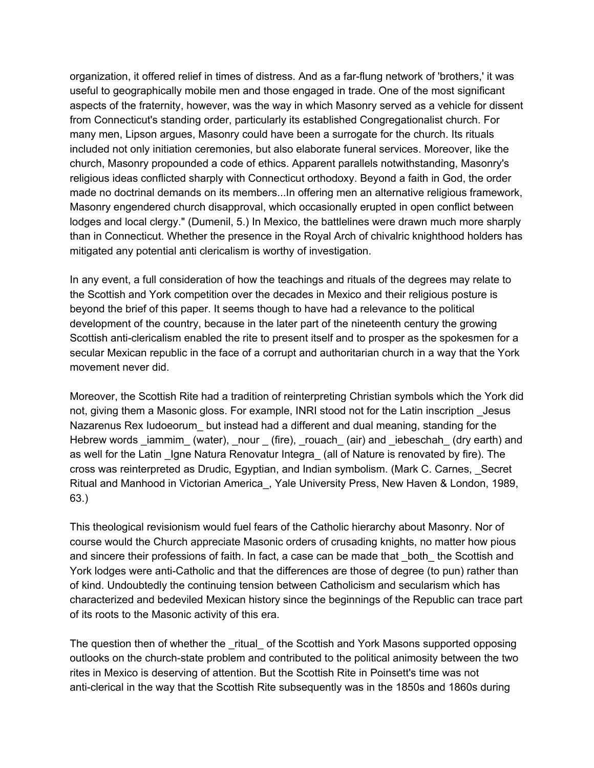organization, it offered relief in times of distress. And as a far-flung network of 'brothers,' it was useful to geographically mobile men and those engaged in trade. One of the most significant aspects of the fraternity, however, was the way in which Masonry served as a vehicle for dissent from Connecticut's standing order, particularly its established Congregationalist church. For many men, Lipson argues, Masonry could have been a surrogate for the church. Its rituals included not only initiation ceremonies, but also elaborate funeral services. Moreover, like the church, Masonry propounded a code of ethics. Apparent parallels notwithstanding, Masonry's religious ideas conflicted sharply with Connecticut orthodoxy. Beyond a faith in God, the order made no doctrinal demands on its members...In offering men an alternative religious framework, Masonry engendered church disapproval, which occasionally erupted in open conflict between lodges and local clergy." (Dumenil, 5.) In Mexico, the battlelines were drawn much more sharply than in Connecticut. Whether the presence in the Royal Arch of chivalric knighthood holders has mitigated any potential anti clericalism is worthy of investigation.

In any event, a full consideration of how the teachings and rituals of the degrees may relate to the Scottish and York competition over the decades in Mexico and their religious posture is beyond the brief of this paper. It seems though to have had a relevance to the political development of the country, because in the later part of the nineteenth century the growing Scottish anti-clericalism enabled the rite to present itself and to prosper as the spokesmen for a secular Mexican republic in the face of a corrupt and authoritarian church in a way that the York movement never did.

Moreover, the Scottish Rite had a tradition of reinterpreting Christian symbols which the York did not, giving them a Masonic gloss. For example, INRI stood not for the Latin inscription \_Jesus Nazarenus Rex Iudoeorum\_ but instead had a different and dual meaning, standing for the Hebrew words iammim (water), nour (fire), rouach (air) and iebeschah (dry earth) and as well for the Latin Igne Natura Renovatur Integra (all of Nature is renovated by fire). The cross was reinterpreted as Drudic, Egyptian, and Indian symbolism. (Mark C. Carnes, \_Secret Ritual and Manhood in Victorian America\_, Yale University Press, New Haven & London, 1989, 63.)

This theological revisionism would fuel fears of the Catholic hierarchy about Masonry. Nor of course would the Church appreciate Masonic orders of crusading knights, no matter how pious and sincere their professions of faith. In fact, a case can be made that \_both\_ the Scottish and York lodges were anti-Catholic and that the differences are those of degree (to pun) rather than of kind. Undoubtedly the continuing tension between Catholicism and secularism which has characterized and bedeviled Mexican history since the beginnings of the Republic can trace part of its roots to the Masonic activity of this era.

The question then of whether the \_ritual\_ of the Scottish and York Masons supported opposing outlooks on the church-state problem and contributed to the political animosity between the two rites in Mexico is deserving of attention. But the Scottish Rite in Poinsett's time was not anti-clerical in the way that the Scottish Rite subsequently was in the 1850s and 1860s during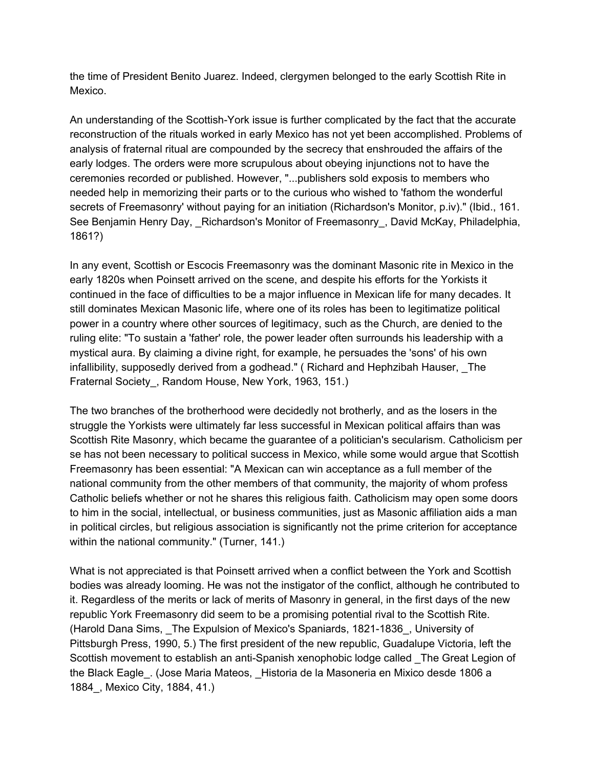the time of President Benito Juarez. Indeed, clergymen belonged to the early Scottish Rite in Mexico.

An understanding of the Scottish-York issue is further complicated by the fact that the accurate reconstruction of the rituals worked in early Mexico has not yet been accomplished. Problems of analysis of fraternal ritual are compounded by the secrecy that enshrouded the affairs of the early lodges. The orders were more scrupulous about obeying injunctions not to have the ceremonies recorded or published. However, "...publishers sold exposis to members who needed help in memorizing their parts or to the curious who wished to 'fathom the wonderful secrets of Freemasonry' without paying for an initiation (Richardson's Monitor, p.iv)." (Ibid., 161. See Benjamin Henry Day, Richardson's Monitor of Freemasonry, David McKay, Philadelphia, 1861?)

In any event, Scottish or Escocis Freemasonry was the dominant Masonic rite in Mexico in the early 1820s when Poinsett arrived on the scene, and despite his efforts for the Yorkists it continued in the face of difficulties to be a major influence in Mexican life for many decades. It still dominates Mexican Masonic life, where one of its roles has been to legitimatize political power in a country where other sources of legitimacy, such as the Church, are denied to the ruling elite: "To sustain a 'father' role, the power leader often surrounds his leadership with a mystical aura. By claiming a divine right, for example, he persuades the 'sons' of his own infallibility, supposedly derived from a godhead." ( Richard and Hephzibah Hauser, \_The Fraternal Society\_, Random House, New York, 1963, 151.)

The two branches of the brotherhood were decidedly not brotherly, and as the losers in the struggle the Yorkists were ultimately far less successful in Mexican political affairs than was Scottish Rite Masonry, which became the guarantee of a politician's secularism. Catholicism per se has not been necessary to political success in Mexico, while some would argue that Scottish Freemasonry has been essential: "A Mexican can win acceptance as a full member of the national community from the other members of that community, the majority of whom profess Catholic beliefs whether or not he shares this religious faith. Catholicism may open some doors to him in the social, intellectual, or business communities, just as Masonic affiliation aids a man in political circles, but religious association is significantly not the prime criterion for acceptance within the national community." (Turner, 141.)

What is not appreciated is that Poinsett arrived when a conflict between the York and Scottish bodies was already looming. He was not the instigator of the conflict, although he contributed to it. Regardless of the merits or lack of merits of Masonry in general, in the first days of the new republic York Freemasonry did seem to be a promising potential rival to the Scottish Rite. (Harold Dana Sims, \_The Expulsion of Mexico's Spaniards, 1821-1836\_, University of Pittsburgh Press, 1990, 5.) The first president of the new republic, Guadalupe Victoria, left the Scottish movement to establish an anti-Spanish xenophobic lodge called \_The Great Legion of the Black Eagle\_. (Jose Maria Mateos, \_Historia de la Masoneria en Mixico desde 1806 a 1884\_, Mexico City, 1884, 41.)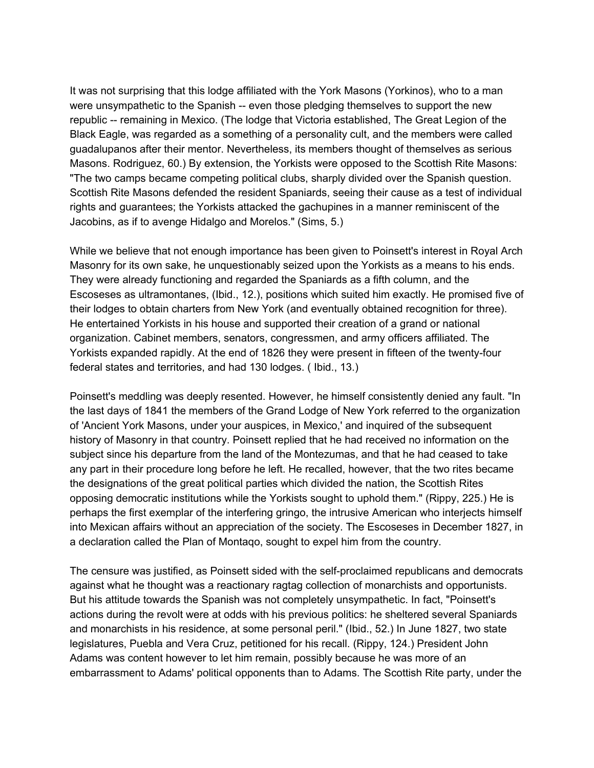It was not surprising that this lodge affiliated with the York Masons (Yorkinos), who to a man were unsympathetic to the Spanish -- even those pledging themselves to support the new republic -- remaining in Mexico. (The lodge that Victoria established, The Great Legion of the Black Eagle, was regarded as a something of a personality cult, and the members were called guadalupanos after their mentor. Nevertheless, its members thought of themselves as serious Masons. Rodriguez, 60.) By extension, the Yorkists were opposed to the Scottish Rite Masons: "The two camps became competing political clubs, sharply divided over the Spanish question. Scottish Rite Masons defended the resident Spaniards, seeing their cause as a test of individual rights and guarantees; the Yorkists attacked the gachupines in a manner reminiscent of the Jacobins, as if to avenge Hidalgo and Morelos." (Sims, 5.)

While we believe that not enough importance has been given to Poinsett's interest in Royal Arch Masonry for its own sake, he unquestionably seized upon the Yorkists as a means to his ends. They were already functioning and regarded the Spaniards as a fifth column, and the Escoseses as ultramontanes, (Ibid., 12.), positions which suited him exactly. He promised five of their lodges to obtain charters from New York (and eventually obtained recognition for three). He entertained Yorkists in his house and supported their creation of a grand or national organization. Cabinet members, senators, congressmen, and army officers affiliated. The Yorkists expanded rapidly. At the end of 1826 they were present in fifteen of the twenty-four federal states and territories, and had 130 lodges. ( Ibid., 13.)

Poinsett's meddling was deeply resented. However, he himself consistently denied any fault. "In the last days of 1841 the members of the Grand Lodge of New York referred to the organization of 'Ancient York Masons, under your auspices, in Mexico,' and inquired of the subsequent history of Masonry in that country. Poinsett replied that he had received no information on the subject since his departure from the land of the Montezumas, and that he had ceased to take any part in their procedure long before he left. He recalled, however, that the two rites became the designations of the great political parties which divided the nation, the Scottish Rites opposing democratic institutions while the Yorkists sought to uphold them." (Rippy, 225.) He is perhaps the first exemplar of the interfering gringo, the intrusive American who interjects himself into Mexican affairs without an appreciation of the society. The Escoseses in December 1827, in a declaration called the Plan of Montaqo, sought to expel him from the country.

The censure was justified, as Poinsett sided with the self-proclaimed republicans and democrats against what he thought was a reactionary ragtag collection of monarchists and opportunists. But his attitude towards the Spanish was not completely unsympathetic. In fact, "Poinsett's actions during the revolt were at odds with his previous politics: he sheltered several Spaniards and monarchists in his residence, at some personal peril." (Ibid., 52.) In June 1827, two state legislatures, Puebla and Vera Cruz, petitioned for his recall. (Rippy, 124.) President John Adams was content however to let him remain, possibly because he was more of an embarrassment to Adams' political opponents than to Adams. The Scottish Rite party, under the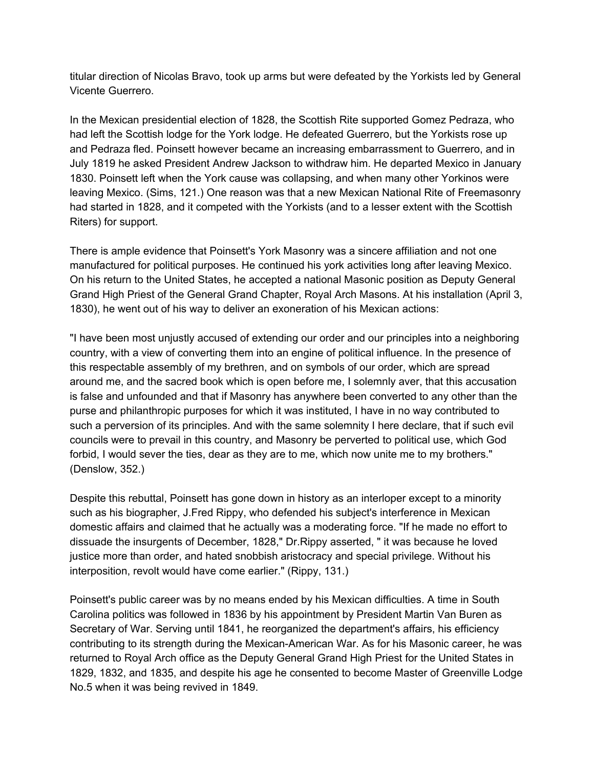titular direction of Nicolas Bravo, took up arms but were defeated by the Yorkists led by General Vicente Guerrero.

In the Mexican presidential election of 1828, the Scottish Rite supported Gomez Pedraza, who had left the Scottish lodge for the York lodge. He defeated Guerrero, but the Yorkists rose up and Pedraza fled. Poinsett however became an increasing embarrassment to Guerrero, and in July 1819 he asked President Andrew Jackson to withdraw him. He departed Mexico in January 1830. Poinsett left when the York cause was collapsing, and when many other Yorkinos were leaving Mexico. (Sims, 121.) One reason was that a new Mexican National Rite of Freemasonry had started in 1828, and it competed with the Yorkists (and to a lesser extent with the Scottish Riters) for support.

There is ample evidence that Poinsett's York Masonry was a sincere affiliation and not one manufactured for political purposes. He continued his york activities long after leaving Mexico. On his return to the United States, he accepted a national Masonic position as Deputy General Grand High Priest of the General Grand Chapter, Royal Arch Masons. At his installation (April 3, 1830), he went out of his way to deliver an exoneration of his Mexican actions:

"I have been most unjustly accused of extending our order and our principles into a neighboring country, with a view of converting them into an engine of political influence. In the presence of this respectable assembly of my brethren, and on symbols of our order, which are spread around me, and the sacred book which is open before me, I solemnly aver, that this accusation is false and unfounded and that if Masonry has anywhere been converted to any other than the purse and philanthropic purposes for which it was instituted, I have in no way contributed to such a perversion of its principles. And with the same solemnity I here declare, that if such evil councils were to prevail in this country, and Masonry be perverted to political use, which God forbid, I would sever the ties, dear as they are to me, which now unite me to my brothers." (Denslow, 352.)

Despite this rebuttal, Poinsett has gone down in history as an interloper except to a minority such as his biographer, J.Fred Rippy, who defended his subject's interference in Mexican domestic affairs and claimed that he actually was a moderating force. "If he made no effort to dissuade the insurgents of December, 1828," Dr.Rippy asserted, " it was because he loved justice more than order, and hated snobbish aristocracy and special privilege. Without his interposition, revolt would have come earlier." (Rippy, 131.)

Poinsett's public career was by no means ended by his Mexican difficulties. A time in South Carolina politics was followed in 1836 by his appointment by President Martin Van Buren as Secretary of War. Serving until 1841, he reorganized the department's affairs, his efficiency contributing to its strength during the Mexican-American War. As for his Masonic career, he was returned to Royal Arch office as the Deputy General Grand High Priest for the United States in 1829, 1832, and 1835, and despite his age he consented to become Master of Greenville Lodge No.5 when it was being revived in 1849.